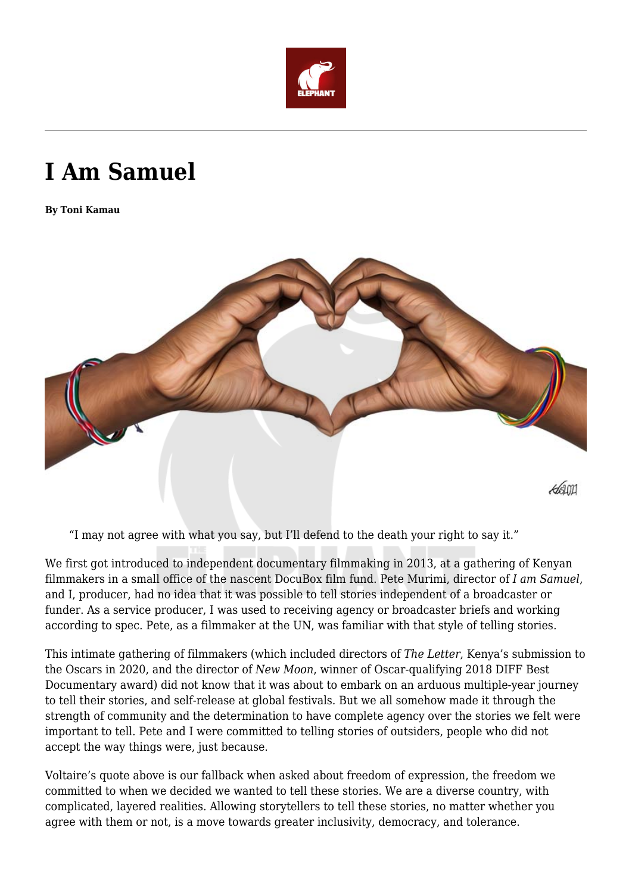

## **I Am Samuel**

**By Toni Kamau**



"I may not agree with what you say, but I'll defend to the death your right to say it."

We first got introduced to independent documentary filmmaking in 2013, at a gathering of Kenyan filmmakers in a small office of the nascent DocuBox film fund. Pete Murimi, director of *I am Samuel*, and I, producer, had no idea that it was possible to tell stories independent of a broadcaster or funder. As a service producer, I was used to receiving agency or broadcaster briefs and working according to spec. Pete, as a filmmaker at the UN, was familiar with that style of telling stories.

This intimate gathering of filmmakers (which included directors of *The Letter*, Kenya's submission to the Oscars in 2020, and the director of *New Moon*, winner of Oscar-qualifying 2018 DIFF Best Documentary award) did not know that it was about to embark on an arduous multiple-year journey to tell their stories, and self-release at global festivals. But we all somehow made it through the strength of community and the determination to have complete agency over the stories we felt were important to tell. Pete and I were committed to telling stories of outsiders, people who did not accept the way things were, just because.

Voltaire's quote above is our fallback when asked about freedom of expression, the freedom we committed to when we decided we wanted to tell these stories. We are a diverse country, with complicated, layered realities. Allowing storytellers to tell these stories, no matter whether you agree with them or not, is a move towards greater inclusivity, democracy, and tolerance.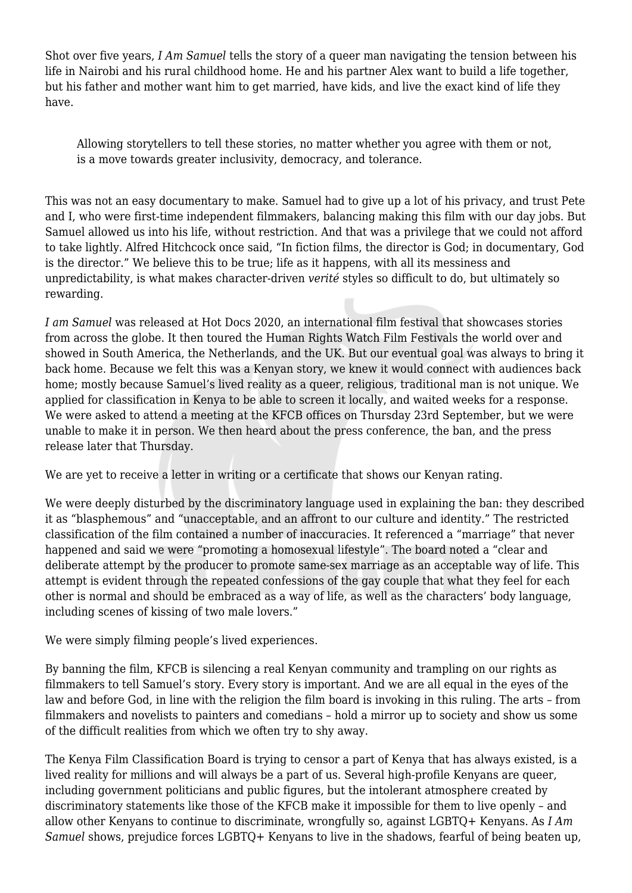Shot over five years, *I Am Samuel* tells the story of a queer man navigating the tension between his life in Nairobi and his rural childhood home. He and his partner Alex want to build a life together, but his father and mother want him to get married, have kids, and live the exact kind of life they have.

Allowing storytellers to tell these stories, no matter whether you agree with them or not, is a move towards greater inclusivity, democracy, and tolerance.

This was not an easy documentary to make. Samuel had to give up a lot of his privacy, and trust Pete and I, who were first-time independent filmmakers, balancing making this film with our day jobs. But Samuel allowed us into his life, without restriction. And that was a privilege that we could not afford to take lightly. Alfred Hitchcock once said, "In fiction films, the director is God; in documentary, God is the director." We believe this to be true; life as it happens, with all its messiness and unpredictability, is what makes character-driven *verité* styles so difficult to do, but ultimately so rewarding.

*I am Samuel* was released at Hot Docs 2020, an international film festival that showcases stories from across the globe. It then toured the Human Rights Watch Film Festivals the world over and showed in South America, the Netherlands, and the UK. But our eventual goal was always to bring it back home. Because we felt this was a Kenyan story, we knew it would connect with audiences back home; mostly because Samuel's lived reality as a queer, religious, traditional man is not unique. We applied for classification in Kenya to be able to screen it locally, and waited weeks for a response. We were asked to attend a meeting at the KFCB offices on Thursday 23rd September, but we were unable to make it in person. We then heard about the press conference, the ban, and the press release later that Thursday.

We are yet to receive a letter in writing or a certificate that shows our Kenyan rating.

We were deeply disturbed by the discriminatory language used in explaining the ban: they described it as "blasphemous" and "unacceptable, and an affront to our culture and identity." The restricted classification of the film contained a number of inaccuracies. It referenced a "marriage" that never happened and said we were "promoting a homosexual lifestyle". The board noted a "clear and deliberate attempt by the producer to promote same-sex marriage as an acceptable way of life. This attempt is evident through the repeated confessions of the gay couple that what they feel for each other is normal and should be embraced as a way of life, as well as the characters' body language, including scenes of kissing of two male lovers."

We were simply filming people's lived experiences.

By banning the film, KFCB is silencing a real Kenyan community and trampling on our rights as filmmakers to tell Samuel's story. Every story is important. And we are all equal in the eyes of the law and before God, in line with the religion the film board is invoking in this ruling. The arts – from filmmakers and novelists to painters and comedians – hold a mirror up to society and show us some of the difficult realities from which we often try to shy away.

The Kenya Film Classification Board is trying to censor a part of Kenya that has always existed, is a lived reality for millions and will always be a part of us. Several high-profile Kenyans are queer, including government politicians and public figures, but the intolerant atmosphere created by discriminatory statements like those of the KFCB make it impossible for them to live openly – and allow other Kenyans to continue to discriminate, wrongfully so, against LGBTQ+ Kenyans. As *I Am Samuel* shows, prejudice forces LGBTQ+ Kenyans to live in the shadows, fearful of being beaten up,